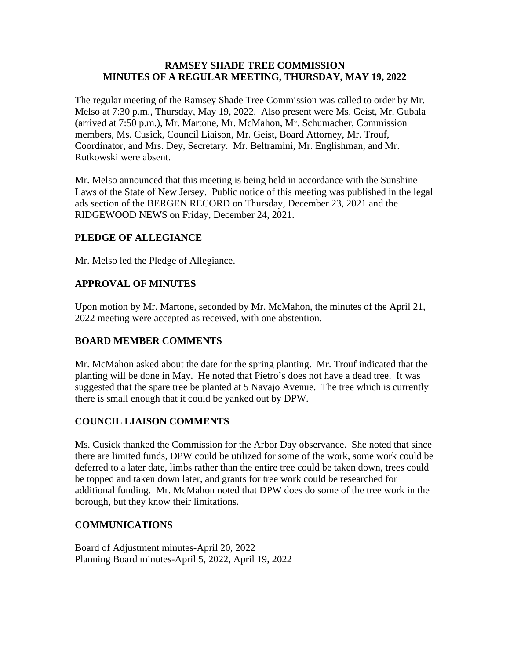## **RAMSEY SHADE TREE COMMISSION MINUTES OF A REGULAR MEETING, THURSDAY, MAY 19, 2022**

The regular meeting of the Ramsey Shade Tree Commission was called to order by Mr. Melso at 7:30 p.m., Thursday, May 19, 2022. Also present were Ms. Geist, Mr. Gubala (arrived at 7:50 p.m.), Mr. Martone, Mr. McMahon, Mr. Schumacher, Commission members, Ms. Cusick, Council Liaison, Mr. Geist, Board Attorney, Mr. Trouf, Coordinator, and Mrs. Dey, Secretary. Mr. Beltramini, Mr. Englishman, and Mr. Rutkowski were absent.

Mr. Melso announced that this meeting is being held in accordance with the Sunshine Laws of the State of New Jersey. Public notice of this meeting was published in the legal ads section of the BERGEN RECORD on Thursday, December 23, 2021 and the RIDGEWOOD NEWS on Friday, December 24, 2021.

# **PLEDGE OF ALLEGIANCE**

Mr. Melso led the Pledge of Allegiance.

# **APPROVAL OF MINUTES**

Upon motion by Mr. Martone, seconded by Mr. McMahon, the minutes of the April 21, 2022 meeting were accepted as received, with one abstention.

# **BOARD MEMBER COMMENTS**

Mr. McMahon asked about the date for the spring planting. Mr. Trouf indicated that the planting will be done in May. He noted that Pietro's does not have a dead tree. It was suggested that the spare tree be planted at 5 Navajo Avenue. The tree which is currently there is small enough that it could be yanked out by DPW.

# **COUNCIL LIAISON COMMENTS**

Ms. Cusick thanked the Commission for the Arbor Day observance. She noted that since there are limited funds, DPW could be utilized for some of the work, some work could be deferred to a later date, limbs rather than the entire tree could be taken down, trees could be topped and taken down later, and grants for tree work could be researched for additional funding. Mr. McMahon noted that DPW does do some of the tree work in the borough, but they know their limitations.

# **COMMUNICATIONS**

Board of Adjustment minutes-April 20, 2022 Planning Board minutes-April 5, 2022, April 19, 2022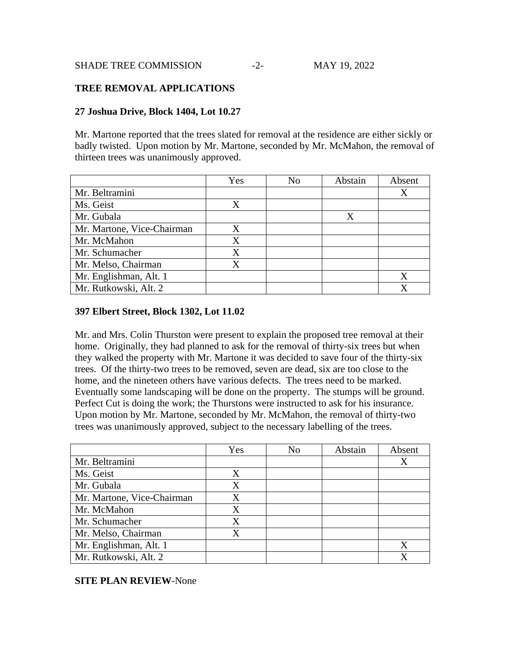### **TREE REMOVAL APPLICATIONS**

### **27 Joshua Drive, Block 1404, Lot 10.27**

Mr. Martone reported that the trees slated for removal at the residence are either sickly or badly twisted. Upon motion by Mr. Martone, seconded by Mr. McMahon, the removal of thirteen trees was unanimously approved.

|                            | Yes | N <sub>o</sub> | Abstain | Absent |
|----------------------------|-----|----------------|---------|--------|
| Mr. Beltramini             |     |                |         | X      |
| Ms. Geist                  | X   |                |         |        |
| Mr. Gubala                 |     |                | X       |        |
| Mr. Martone, Vice-Chairman | X   |                |         |        |
| Mr. McMahon                | X   |                |         |        |
| Mr. Schumacher             | X   |                |         |        |
| Mr. Melso, Chairman        | X   |                |         |        |
| Mr. Englishman, Alt. 1     |     |                |         |        |
| Mr. Rutkowski, Alt. 2      |     |                |         |        |

#### **397 Elbert Street, Block 1302, Lot 11.02**

Mr. and Mrs. Colin Thurston were present to explain the proposed tree removal at their home. Originally, they had planned to ask for the removal of thirty-six trees but when they walked the property with Mr. Martone it was decided to save four of the thirty-six trees. Of the thirty-two trees to be removed, seven are dead, six are too close to the home, and the nineteen others have various defects. The trees need to be marked. Eventually some landscaping will be done on the property. The stumps will be ground. Perfect Cut is doing the work; the Thurstons were instructed to ask for his insurance. Upon motion by Mr. Martone, seconded by Mr. McMahon, the removal of thirty-two trees was unanimously approved, subject to the necessary labelling of the trees.

|                            | Yes | N <sub>0</sub> | Abstain | Absent |
|----------------------------|-----|----------------|---------|--------|
| Mr. Beltramini             |     |                |         | X      |
| Ms. Geist                  | X   |                |         |        |
| Mr. Gubala                 | X   |                |         |        |
| Mr. Martone, Vice-Chairman | X   |                |         |        |
| Mr. McMahon                | X   |                |         |        |
| Mr. Schumacher             | X   |                |         |        |
| Mr. Melso, Chairman        | X   |                |         |        |
| Mr. Englishman, Alt. 1     |     |                |         | X      |
| Mr. Rutkowski, Alt. 2      |     |                |         |        |

#### **SITE PLAN REVIEW**-None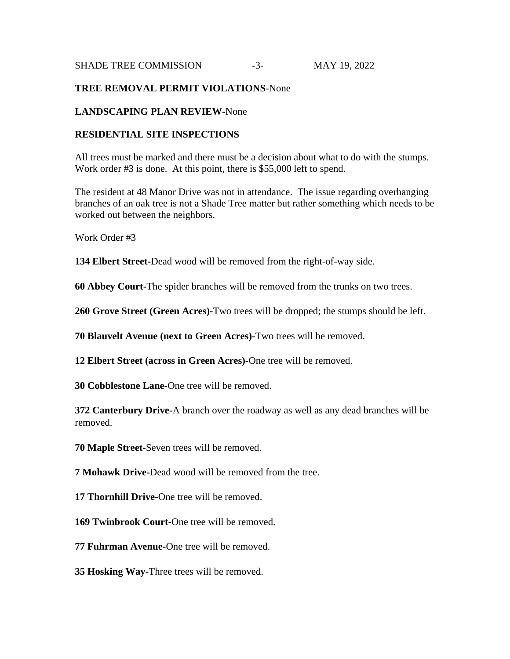### **TREE REMOVAL PERMIT VIOLATIONS**-None

### **LANDSCAPING PLAN REVIEW-**None

### **RESIDENTIAL SITE INSPECTIONS**

All trees must be marked and there must be a decision about what to do with the stumps. Work order #3 is done. At this point, there is \$55,000 left to spend.

The resident at 48 Manor Drive was not in attendance. The issue regarding overhanging branches of an oak tree is not a Shade Tree matter but rather something which needs to be worked out between the neighbors.

Work Order #3

**134 Elbert Street-**Dead wood will be removed from the right-of-way side.

**60 Abbey Court-**The spider branches will be removed from the trunks on two trees.

**260 Grove Street (Green Acres)-**Two trees will be dropped; the stumps should be left.

**70 Blauvelt Avenue (next to Green Acres)-**Two trees will be removed.

**12 Elbert Street (across in Green Acres)-**One tree will be removed.

**30 Cobblestone Lane-**One tree will be removed.

**372 Canterbury Drive-**A branch over the roadway as well as any dead branches will be removed.

**70 Maple Street-**Seven trees will be removed.

**7 Mohawk Drive-**Dead wood will be removed from the tree.

**17 Thornhill Drive-**One tree will be removed.

**169 Twinbrook Court-**One tree will be removed.

**77 Fuhrman Avenue-**One tree will be removed.

**35 Hosking Way-**Three trees will be removed.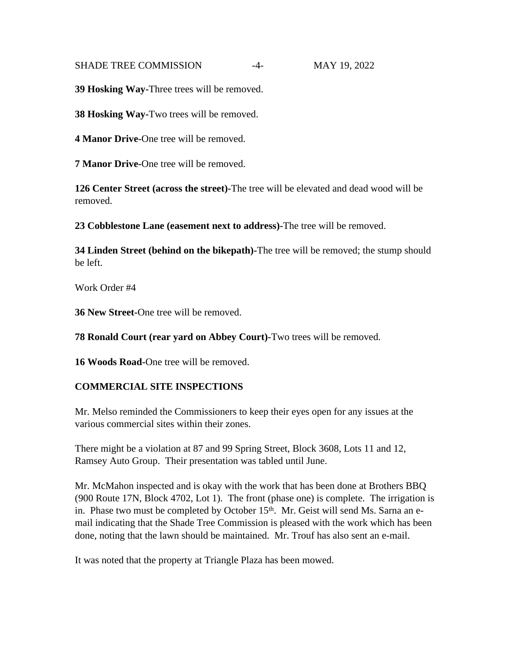SHADE TREE COMMISSION  $-4$ - MAY 19, 2022

**39 Hosking Way-**Three trees will be removed.

**38 Hosking Way-**Two trees will be removed.

**4 Manor Drive-**One tree will be removed.

**7 Manor Drive-**One tree will be removed.

**126 Center Street (across the street)-**The tree will be elevated and dead wood will be removed.

**23 Cobblestone Lane (easement next to address)-**The tree will be removed.

**34 Linden Street (behind on the bikepath)-**The tree will be removed; the stump should be left.

Work Order #4

**36 New Street-**One tree will be removed.

**78 Ronald Court (rear yard on Abbey Court)-**Two trees will be removed.

**16 Woods Road-**One tree will be removed.

# **COMMERCIAL SITE INSPECTIONS**

Mr. Melso reminded the Commissioners to keep their eyes open for any issues at the various commercial sites within their zones.

There might be a violation at 87 and 99 Spring Street, Block 3608, Lots 11 and 12, Ramsey Auto Group. Their presentation was tabled until June.

Mr. McMahon inspected and is okay with the work that has been done at Brothers BBQ (900 Route 17N, Block 4702, Lot 1). The front (phase one) is complete. The irrigation is in. Phase two must be completed by October 15<sup>th</sup>. Mr. Geist will send Ms. Sarna an email indicating that the Shade Tree Commission is pleased with the work which has been done, noting that the lawn should be maintained. Mr. Trouf has also sent an e-mail.

It was noted that the property at Triangle Plaza has been mowed.